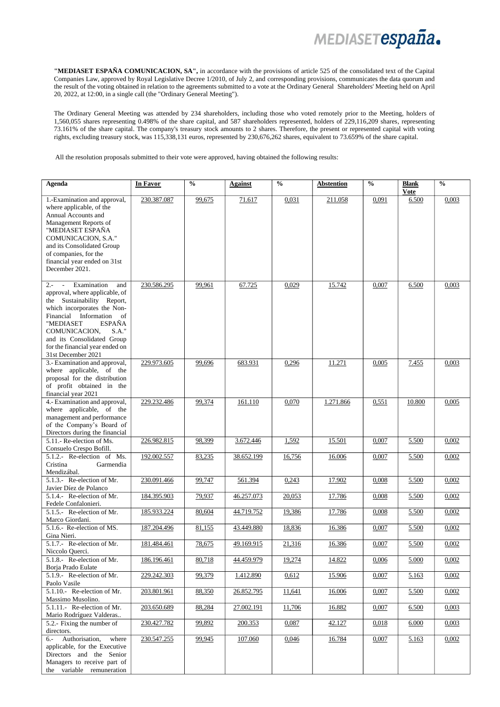MEDIASETespaña.

**"MEDIASET ESPAÑA COMUNICACION, SA",** in accordance with the provisions of article 525 of the consolidated text of the Capital Companies Law, approved by Royal Legislative Decree 1/2010, of July 2, and corresponding provisions, communicates the data quorum and the result of the voting obtained in relation to the agreements submitted to a vote at the Ordinary General Shareholders' Meeting held on April 20, 2022, at 12:00, in a single call (the "Ordinary General Meeting").

The Ordinary General Meeting was attended by 234 shareholders, including those who voted remotely prior to the Meeting, holders of 1,560,055 shares representing 0.498% of the share capital, and 587 shareholders represented, holders of 229,116,209 shares, representing 73.161% of the share capital. The company's treasury stock amounts to 2 shares. Therefore, the present or represented capital with voting rights, excluding treasury stock, was 115,338,131 euros, represented by 230,676,262 shares, equivalent to 73.659% of the share capital.

All the resolution proposals submitted to their vote were approved, having obtained the following results:

| Agenda                                                                                                                                                                                                                                                                                                                  | In Favor    | $\frac{0}{0}$ | Against    | $\overline{\frac{0}{0}}$ | <b>Abstention</b> | $\frac{0}{0}$ | <b>Blank</b><br><b>Vote</b> | $\overline{\frac{0}{0}}$ |
|-------------------------------------------------------------------------------------------------------------------------------------------------------------------------------------------------------------------------------------------------------------------------------------------------------------------------|-------------|---------------|------------|--------------------------|-------------------|---------------|-----------------------------|--------------------------|
| 1.-Examination and approval,<br>where applicable, of the<br>Annual Accounts and<br>Management Reports of<br>"MEDIASET ESPAÑA<br>COMUNICACION, S.A."<br>and its Consolidated Group<br>of companies, for the<br>financial year ended on 31st<br>December 2021.                                                            | 230.387.087 | 99,675        | 71.617     | 0,031                    | 211.058           | 0,091         | 6.500                       | 0,003                    |
| Examination<br>$2 -$<br>$\sim$<br>and<br>approval, where applicable, of<br>the Sustainability Report,<br>which incorporates the Non-<br>Financial Information<br>- of<br>"MEDIASET<br><b>ESPAÑA</b><br>COMUNICACION,<br>$S.A.$ "<br>and its Consolidated Group<br>for the financial year ended on<br>31st December 2021 | 230.586.295 | 99,961        | 67.725     | 0,029                    | 15.742            | 0,007         | 6.500                       | 0,003                    |
| 3.- Examination and approval,<br>where applicable, of the<br>proposal for the distribution<br>of profit obtained in the<br>financial year 2021                                                                                                                                                                          | 229.973.605 | 99,696        | 683.931    | 0,296                    | 11.271            | 0,005         | 7.455                       | 0,003                    |
| 4.- Examination and approval,<br>where applicable, of the<br>management and performance<br>of the Company's Board of<br>Directors during the financial                                                                                                                                                                  | 229.232.486 | 99,374        | 161.110    | 0,070                    | 1.271.866         | 0,551         | 10.800                      | 0,005                    |
| 5.11.- Re-election of Ms.<br>Consuelo Crespo Bofill.                                                                                                                                                                                                                                                                    | 226.982.815 | 98,399        | 3.672.446  | 1,592                    | 15.501            | 0,007         | 5.500                       | 0,002                    |
| 5.1.2.- Re-election of Ms.<br>Cristina<br>Garmendia<br>Mendizábal.                                                                                                                                                                                                                                                      | 192.002.557 | 83,235        | 38.652.199 | 16,756                   | 16.006            | 0,007         | 5.500                       | 0,002                    |
| 5.1.3.- Re-election of Mr.<br>Javier Díez de Polanco                                                                                                                                                                                                                                                                    | 230.091.466 | 99,747        | 561.394    | 0,243                    | 17.902            | 0,008         | 5.500                       | 0,002                    |
| 5.1.4.- Re-election of Mr.<br>Fedele Confalonieri.                                                                                                                                                                                                                                                                      | 184.395.903 | 79,937        | 46.257.073 | 20,053                   | 17.786            | 0,008         | 5.500                       | 0,002                    |
| 5.1.5.- Re-election of Mr.<br>Marco Giordani.                                                                                                                                                                                                                                                                           | 185.933.224 | 80,604        | 44.719.752 | 19,386                   | 17.786            | 0,008         | 5.500                       | 0,002                    |
| 5.1.6.- Re-election of MS.<br>Gina Nieri.                                                                                                                                                                                                                                                                               | 187.204.496 | 81,155        | 43.449.880 | 18,836                   | 16.386            | 0,007         | 5.500                       | 0,002                    |
| 5.1.7.- Re-election of Mr.<br>Niccolo Querci.                                                                                                                                                                                                                                                                           | 181.484.461 | 78,675        | 49.169.915 | 21,316                   | 16.386            | 0,007         | 5.500                       | 0,002                    |
| 5.1.8.- Re-election of Mr.<br>Borja Prado Eulate                                                                                                                                                                                                                                                                        | 186.196.461 | 80,718        | 44.459.979 | 19,274                   | 14.822            | 0,006         | 5.000                       | 0,002                    |
| 5.1.9.- Re-election of Mr.<br>Paolo Vasile                                                                                                                                                                                                                                                                              | 229.242.303 | 99,379        | 1.412.890  | 0,612                    | 15.906            | 0,007         | 5.163                       | 0,002                    |
| 5.1.10.- Re-election of Mr.<br>Massimo Musolino.                                                                                                                                                                                                                                                                        | 203.801.961 | 88,350        | 26.852.795 | 11,641                   | 16.006            | 0,007         | 5.500                       | 0,002                    |
| 5.1.11.- Re-election of Mr.                                                                                                                                                                                                                                                                                             | 203.650.689 | 88,284        | 27.002.191 | 11,706                   | 16.882            | 0,007         | 6.500                       | 0,003                    |
| Mario Rodríguez Valderas<br>5.2.- Fixing the number of<br>directors.                                                                                                                                                                                                                                                    | 230.427.782 | 99,892        | 200.353    | 0,087                    | 42.127            | 0,018         | 6.000                       | 0,003                    |
| Authorisation,<br>where<br>$6 -$<br>applicable, for the Executive<br>Directors and the Senior<br>Managers to receive part of<br>the variable remuneration                                                                                                                                                               | 230.547.255 | 99,945        | 107.060    | 0,046                    | 16.784            | 0,007         | 5.163                       | 0,002                    |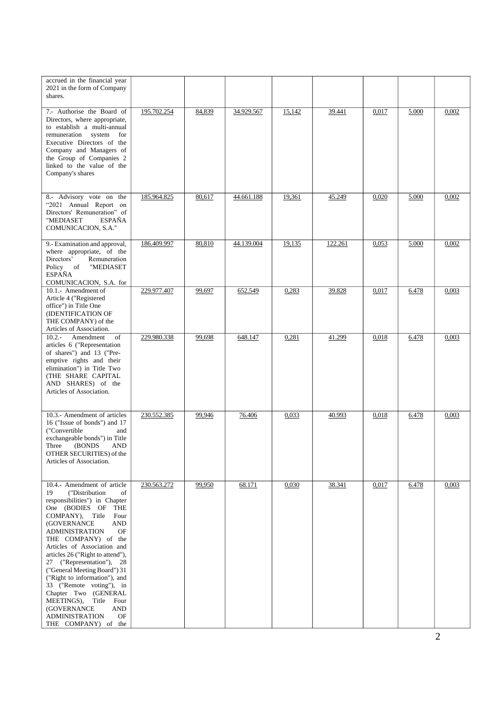| accrued in the financial year<br>2021 in the form of Company<br>shares.                                                                                                                                                                                                                                                                                                                                                                                                                                                                                       |             |        |            |        |         |       |       |       |
|---------------------------------------------------------------------------------------------------------------------------------------------------------------------------------------------------------------------------------------------------------------------------------------------------------------------------------------------------------------------------------------------------------------------------------------------------------------------------------------------------------------------------------------------------------------|-------------|--------|------------|--------|---------|-------|-------|-------|
| 7.- Authorise the Board of<br>Directors, where appropriate,<br>to establish a multi-annual<br>remuneration<br>system<br>for<br>Executive Directors of the<br>Company and Managers of<br>the Group of Companies 2<br>linked to the value of the<br>Company's shares                                                                                                                                                                                                                                                                                            | 195.702.254 | 84,839 | 34.929.567 | 15,142 | 39.441  | 0,017 | 5.000 | 0,002 |
| 8.- Advisory vote on the<br>"2021 Annual Report on<br>Directors' Remuneration" of<br>"MEDIASET<br><b>ESPAÑA</b><br>COMUNICACION, S.A."                                                                                                                                                                                                                                                                                                                                                                                                                        | 185.964.825 | 80,617 | 44.661.188 | 19,361 | 45.249  | 0,020 | 5.000 | 0,002 |
| 9.- Examination and approval,<br>where appropriate, of the<br>Directors'<br>Remuneration<br>Policy<br>"MEDIASET<br>of<br><b>ESPAÑA</b><br>COMUNICACION, S.A. for                                                                                                                                                                                                                                                                                                                                                                                              | 186.409.997 | 80,810 | 44.139.004 | 19,135 | 122.261 | 0,053 | 5.000 | 0,002 |
| 10.1.- Amendment of<br>Article 4 ("Registered<br>office") in Title One<br>(IDENTIFICATION OF<br>THE COMPANY) of the<br>Articles of Association.                                                                                                                                                                                                                                                                                                                                                                                                               | 229.977.407 | 99,697 | 652.549    | 0,283  | 39.828  | 0,017 | 6.478 | 0,003 |
| $10.2 -$<br>Amendment<br>of<br>articles 6 ("Representation<br>of shares") and 13 ("Pre-<br>emptive rights and their<br>elimination") in Title Two<br>(THE SHARE CAPITAL<br>AND SHARES) of the<br>Articles of Association.                                                                                                                                                                                                                                                                                                                                     | 229.980.338 | 99,698 | 648.147    | 0,281  | 41.299  | 0,018 | 6.478 | 0,003 |
| 10.3.- Amendment of articles<br>16 ("Issue of bonds") and 17<br>("Convertible<br>and<br>exchangeable bonds") in Title<br>Three<br>(BONDS)<br><b>AND</b><br>OTHER SECURITIES) of the<br>Articles of Association.                                                                                                                                                                                                                                                                                                                                               | 230.552.385 | 99,946 | 76.406     | 0,033  | 40.993  | 0,018 | 6.478 | 0,003 |
| 10.4.- Amendment of article<br>("Distribution<br>19<br>of<br>responsibilities") in Chapter<br>One (BODIES OF<br>THE<br>Title<br>Four<br>COMPANY),<br>(GOVERNANCE<br>AND<br>OF<br><b>ADMINISTRATION</b><br>THE COMPANY) of the<br>Articles of Association and<br>articles 26 ("Right to attend"),<br>27 ("Representation"), 28<br>("General Meeting Board") 31<br>("Right to information"), and<br>33 ("Remote voting"), in<br>Chapter Two (GENERAL<br>MEETINGS),<br>Title<br>Four<br>(GOVERNANCE<br>AND<br><b>ADMINISTRATION</b><br>OF<br>THE COMPANY) of the | 230.563.272 | 99,950 | 68.171     | 0,030  | 38.341  | 0,017 | 6.478 | 0,003 |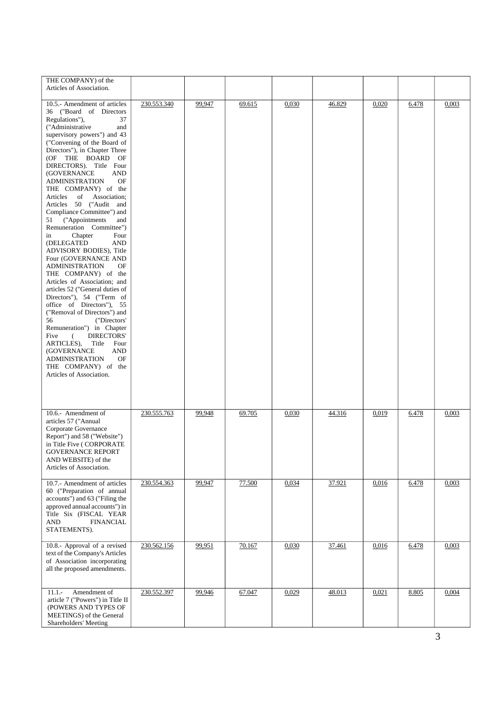| THE COMPANY) of the<br>Articles of Association.                                                                                                                                                                                                                                                                                                                                                                                                                                                                                                                                                                                                                                                                                                                                                                                                                                                                                                                                                                                                |             |        |        |       |        |       |       |       |
|------------------------------------------------------------------------------------------------------------------------------------------------------------------------------------------------------------------------------------------------------------------------------------------------------------------------------------------------------------------------------------------------------------------------------------------------------------------------------------------------------------------------------------------------------------------------------------------------------------------------------------------------------------------------------------------------------------------------------------------------------------------------------------------------------------------------------------------------------------------------------------------------------------------------------------------------------------------------------------------------------------------------------------------------|-------------|--------|--------|-------|--------|-------|-------|-------|
| 10.5.- Amendment of articles<br>36 ("Board of Directors<br>Regulations"),<br>37<br>("Administrative<br>and<br>supervisory powers") and 43<br>("Convening of the Board of<br>Directors"), in Chapter Three<br>(OF THE BOARD<br>OF<br>DIRECTORS). Title Four<br>(GOVERNANCE<br>AND<br><b>ADMINISTRATION</b><br>OF<br>THE COMPANY) of the<br>Association;<br>Articles<br>of<br>Articles 50 ("Audit and<br>Compliance Committee") and<br>("Appointments<br>51<br>and<br>Remuneration Committee")<br>Chapter<br>in<br>Four<br>(DELEGATED<br>AND<br>ADVISORY BODIES), Title<br>Four (GOVERNANCE AND<br><b>ADMINISTRATION</b><br>OF<br>THE COMPANY) of the<br>Articles of Association; and<br>articles 52 ("General duties of<br>Directors"), 54 ("Term of<br>office of Directors"), 55<br>("Removal of Directors") and<br>56<br>("Directors"<br>Remuneration") in Chapter<br>DIRECTORS'<br>Five<br>$\epsilon$<br>ARTICLES),<br>Title<br>Four<br>(GOVERNANCE<br>AND<br>OF<br><b>ADMINISTRATION</b><br>THE COMPANY) of the<br>Articles of Association. | 230.553.340 | 99,947 | 69.615 | 0,030 | 46.829 | 0,020 | 6.478 | 0,003 |
| 10.6.- Amendment of<br>articles 57 ("Annual<br>Corporate Governance<br>Report") and 58 ("Website")<br>in Title Five (CORPORATE<br>GOVERNANCE REPORT<br>AND WEBSITE) of the<br>Articles of Association.                                                                                                                                                                                                                                                                                                                                                                                                                                                                                                                                                                                                                                                                                                                                                                                                                                         | 230.555.763 | 99,948 | 69.705 | 0,030 | 44.316 | 0,019 | 6.478 | 0,003 |
| 10.7.- Amendment of articles<br>60 ("Preparation of annual<br>accounts") and 63 ("Filing the<br>approved annual accounts") in<br>Title Six (FISCAL YEAR<br><b>AND</b><br><b>FINANCIAL</b><br>STATEMENTS).                                                                                                                                                                                                                                                                                                                                                                                                                                                                                                                                                                                                                                                                                                                                                                                                                                      | 230.554.363 | 99,947 | 77.500 | 0,034 | 37.921 | 0,016 | 6.478 | 0,003 |
| 10.8.- Approval of a revised<br>text of the Company's Articles<br>of Association incorporating<br>all the proposed amendments.                                                                                                                                                                                                                                                                                                                                                                                                                                                                                                                                                                                                                                                                                                                                                                                                                                                                                                                 | 230.562.156 | 99,951 | 70.167 | 0,030 | 37.461 | 0,016 | 6.478 | 0,003 |
| Amendment of<br>$11.1 -$<br>article 7 ("Powers") in Title II<br>(POWERS AND TYPES OF<br>MEETINGS) of the General<br>Shareholders' Meeting                                                                                                                                                                                                                                                                                                                                                                                                                                                                                                                                                                                                                                                                                                                                                                                                                                                                                                      | 230.552.397 | 99,946 | 67.047 | 0,029 | 48.013 | 0,021 | 8.805 | 0,004 |